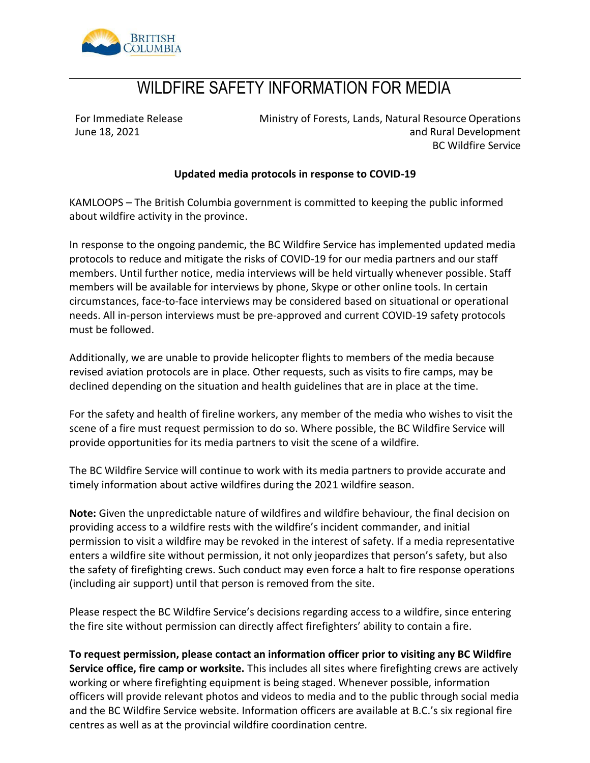

# WILDFIRE SAFETY INFORMATION FOR MEDIA

For Immediate Release June 18, 2021

Ministry of Forests, Lands, Natural Resource Operations and Rural Development BC Wildfire Service

#### **Updated media protocols in response to COVID-19**

KAMLOOPS – The British Columbia government is committed to keeping the public informed about wildfire activity in the province.

In response to the ongoing pandemic, the BC Wildfire Service has implemented updated media protocols to reduce and mitigate the risks of COVID-19 for our media partners and our staff members. Until further notice, media interviews will be held virtually whenever possible. Staff members will be available for interviews by phone, Skype or other online tools. In certain circumstances, face-to-face interviews may be considered based on situational or operational needs. All in-person interviews must be pre-approved and current COVID-19 safety protocols must be followed.

Additionally, we are unable to provide helicopter flights to members of the media because revised aviation protocols are in place. Other requests, such as visits to fire camps, may be declined depending on the situation and health guidelines that are in place at the time.

For the safety and health of fireline workers, any member of the media who wishes to visit the scene of a fire must request permission to do so. Where possible, the BC Wildfire Service will provide opportunities for its media partners to visit the scene of a wildfire.

The BC Wildfire Service will continue to work with its media partners to provide accurate and timely information about active wildfires during the 2021 wildfire season.

**Note:** Given the unpredictable nature of wildfires and wildfire behaviour, the final decision on providing access to a wildfire rests with the wildfire's incident commander, and initial permission to visit a wildfire may be revoked in the interest of safety. If a media representative enters a wildfire site without permission, it not only jeopardizes that person's safety, but also the safety of firefighting crews. Such conduct may even force a halt to fire response operations (including air support) until that person is removed from the site.

Please respect the BC Wildfire Service's decisions regarding access to a wildfire, since entering the fire site without permission can directly affect firefighters' ability to contain a fire.

**To request permission, please contact an information officer prior to visiting any BC Wildfire Service office, fire camp or worksite.** This includes all sites where firefighting crews are actively working or where firefighting equipment is being staged. Whenever possible, information officers will provide relevant photos and videos to media and to the public through social media and the BC Wildfire Service website. Information officers are available at B.C.'s six regional fire centres as well as at the provincial wildfire coordination centre.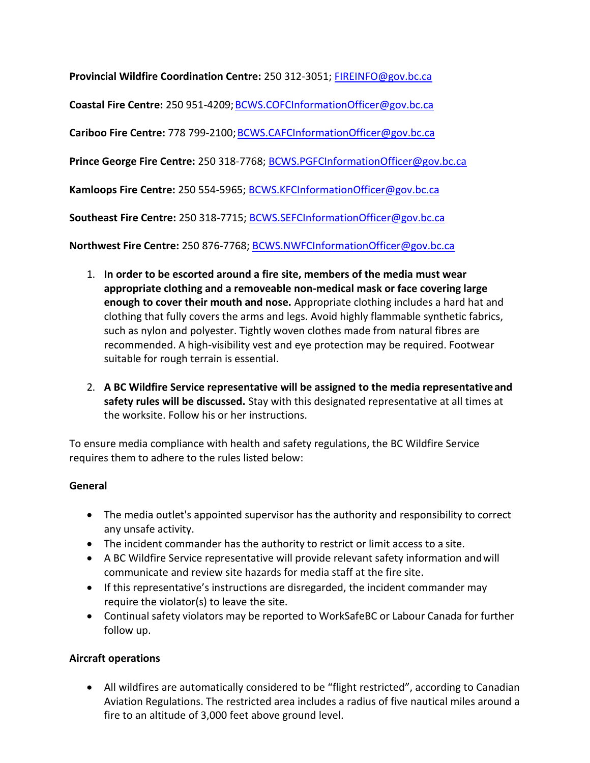**Provincial Wildfire Coordination Centre:** 250 312-3051; [FIREINFO@gov.bc.ca](mailto:FIREINFO@gov.bc.ca) **Coastal Fire Centre:** 250 951-4209; BCWS.COFCInformationOfficer@gov.bc.ca **Cariboo Fire Centre:** 778 799-2100[;BCWS.CAFCInformationOfficer@gov.bc.ca](mailto:BCWS.CAFCInformationOfficer@gov.bc.ca) **Prince George Fire Centre:** 250 318-7768[; BCWS.PGFCInformationOfficer@gov.bc.ca](mailto:BCWS.PGFCInformationOfficer@gov.bc.ca) **Kamloops Fire Centre:** 250 554-5965; [BCWS.KFCInformationOfficer@gov.bc.ca](mailto:BCWS.KFCInformationOfficer@gov.bc.ca) **Southeast Fire Centre:** 250 318-7715[; BCWS.SEFCInformationOfficer@gov.bc.ca](mailto:BCWS.SEFCInformationOfficer@gov.bc.ca)

**Northwest Fire Centre:** 250 876-7768; [BCWS.NWFCInformationOfficer@gov.bc.ca](mailto:BCWS.NWFCInformationOfficer@gov.bc.ca)

- 1. **In order to be escorted around a fire site, members of the media must wear appropriate clothing and a removeable non-medical mask or face covering large enough to cover their mouth and nose.** Appropriate clothing includes a hard hat and clothing that fully covers the arms and legs. Avoid highly flammable synthetic fabrics, such as nylon and polyester. Tightly woven clothes made from natural fibres are recommended. A high-visibility vest and eye protection may be required. Footwear suitable for rough terrain is essential.
- 2. **A BC Wildfire Service representative will be assigned to the media representativeand safety rules will be discussed.** Stay with this designated representative at all times at the worksite. Follow his or her instructions.

To ensure media compliance with health and safety regulations, the BC Wildfire Service requires them to adhere to the rules listed below:

## **General**

- The media outlet's appointed supervisor has the authority and responsibility to correct any unsafe activity.
- The incident commander has the authority to restrict or limit access to a site.
- A BC Wildfire Service representative will provide relevant safety information andwill communicate and review site hazards for media staff at the fire site.
- If this representative's instructions are disregarded, the incident commander may require the violator(s) to leave the site.
- Continual safety violators may be reported to WorkSafeBC or Labour Canada for further follow up.

## **Aircraft operations**

• All wildfires are automatically considered to be "flight restricted", according to Canadian Aviation Regulations. The restricted area includes a radius of five nautical miles around a fire to an altitude of 3,000 feet above ground level.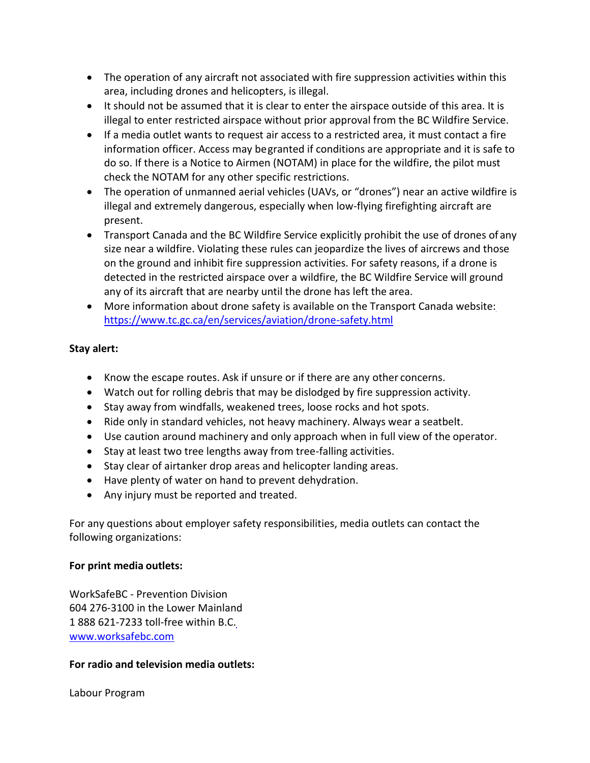- The operation of any aircraft not associated with fire suppression activities within this area, including drones and helicopters, is illegal.
- It should not be assumed that it is clear to enter the airspace outside of this area. It is illegal to enter restricted airspace without prior approval from the BC Wildfire Service.
- If a media outlet wants to request air access to a restricted area, it must contact a fire information officer. Access may begranted if conditions are appropriate and it is safe to do so. If there is a Notice to Airmen (NOTAM) in place for the wildfire, the pilot must check the NOTAM for any other specific restrictions.
- The operation of unmanned aerial vehicles (UAVs, or "drones") near an active wildfire is illegal and extremely dangerous, especially when low-flying firefighting aircraft are present.
- Transport Canada and the BC Wildfire Service explicitly prohibit the use of drones of any size near a wildfire. Violating these rules can jeopardize the lives of aircrews and those on the ground and inhibit fire suppression activities. For safety reasons, if a drone is detected in the restricted airspace over a wildfire, the BC Wildfire Service will ground any of its aircraft that are nearby until the drone has left the area.
- More information about drone safety is available on the Transport Canada website[:](https://www.tc.gc.ca/en/services/aviation/drone-safety.html) <https://www.tc.gc.ca/en/services/aviation/drone-safety.html>

## **Stay alert:**

- Know the escape routes. Ask if unsure or if there are any other concerns.
- Watch out for rolling debris that may be dislodged by fire suppression activity.
- Stay away from windfalls, weakened trees, loose rocks and hot spots.
- Ride only in standard vehicles, not heavy machinery. Always wear a seatbelt.
- Use caution around machinery and only approach when in full view of the operator.
- Stay at least two tree lengths away from tree-falling activities.
- Stay clear of airtanker drop areas and helicopter landing areas.
- Have plenty of water on hand to prevent dehydration.
- Any injury must be reported and treated.

For any questions about employer safety responsibilities, media outlets can contact the following organizations:

## **For print media outlets:**

WorkSafeBC - Prevention Division 604 276-3100 in the Lower Mainland 1 888 621-7233 toll-free within B.C[.](http://www.worksafebc.com/) [www.worksafebc.com](http://www.worksafebc.com/)

## **For radio and television media outlets:**

Labour Program